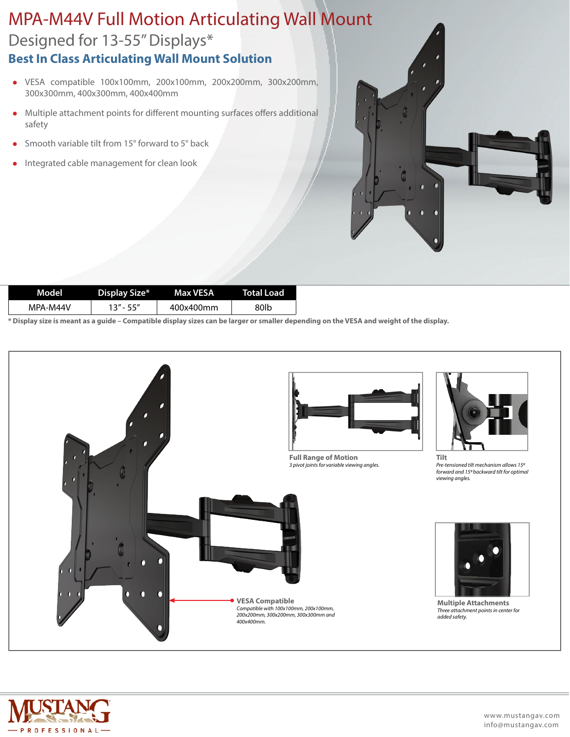## Designed for 13-55" Displays\* MPA-M44V Full Motion Articulating Wall Mount **Best In Class Articulating Wall Mount Solution**

- <sup>l</sup> VESA compatible 100x100mm, 200x100mm, 200x200mm, 300x200mm, 300x300mm, 400x300mm, 400x400mm
- Multiple attachment points for different mounting surfaces offers additional safety
- $\bullet$  Smooth variable tilt from 15 $\degree$  forward to 5 $\degree$  back
- Integrated cable management for clean look



| Model    | Display Size* | Max VESA  | <b>Total Load</b> |
|----------|---------------|-----------|-------------------|
| MPA-M44V | 13"-55"       | 400x400mm | 80lb              |

**\* Display size is meant as a guide – Compatible display sizes can be larger or smaller depending on the VESA and weight of the display.**